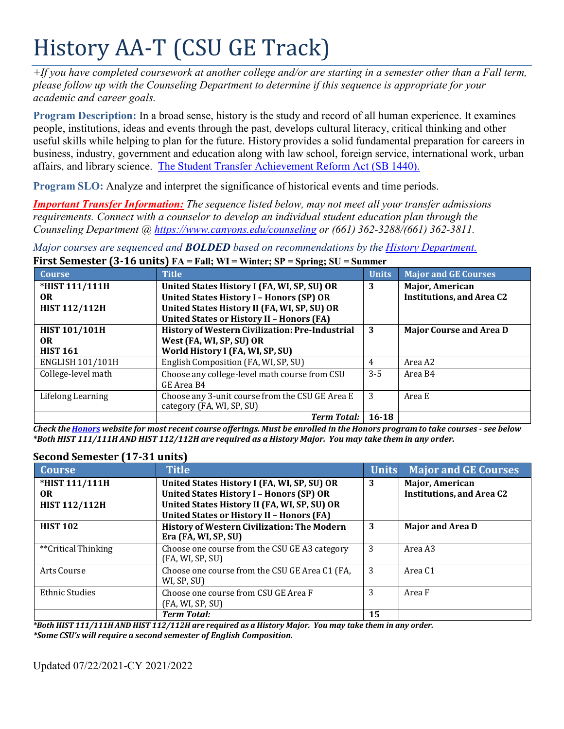# History AA-T (CSU GE Track)

*+If you have completed coursework at another college and/or are starting in a semester other than a Fall term, please follow up with the Counseling Department to determine if this sequence is appropriate for your academic and career goals.*

**Program Description:** In a broad sense, history is the study and record of all human experience. It examines people, institutions, ideas and events through the past, develops cultural literacy, critical thinking and other useful skills while helping to plan for the future. History provides a solid fundamental preparation for careers in business, industry, government and education along with law school, foreign service, international work, urban affairs, and library science. The Student Transfer Achievement Reform Act (SB 1440).

**Program SLO:** Analyze and interpret the significance of historical events and time periods.

*Important Transfer Information: The sequence listed below, may not meet all your transfer admissions requirements. Connect with a counselor to develop an individual student education plan through the Counseling Department @ <https://www.canyons.edu/counseling> or (661) 362-3288/(661) 362-3811.*

*Major courses are sequenced and BOLDED based on recommendations by the History Department.* **First Semester (3-16 units) FA = Fall; WI = Winter; SP = Spring; SU = Summer**

| <b>Course</b>        | <b>Title</b>                                     | <b>Units</b> | <b>Major and GE Courses</b>      |
|----------------------|--------------------------------------------------|--------------|----------------------------------|
| *HIST 111/111H       | United States History I (FA, WI, SP, SU) OR      | 3            | <b>Major, American</b>           |
| OR.                  | <b>United States History I - Honors (SP) OR</b>  |              | <b>Institutions, and Area C2</b> |
| <b>HIST 112/112H</b> | United States History II (FA, WI, SP, SU) OR     |              |                                  |
|                      | <b>United States or History II - Honors (FA)</b> |              |                                  |
| <b>HIST 101/101H</b> | History of Western Civilization: Pre-Industrial  | 3            | <b>Major Course and Area D</b>   |
| OR.                  | West (FA, WI, SP, SU) OR                         |              |                                  |
| <b>HIST 161</b>      | World History I (FA, WI, SP, SU)                 |              |                                  |
| ENGLISH 101/101H     | English Composition (FA, WI, SP, SU)             | 4            | Area A2                          |
| College-level math   | Choose any college-level math course from CSU    | $3 - 5$      | Area B4                          |
|                      | GE Area B4                                       |              |                                  |
| Lifelong Learning    | Choose any 3-unit course from the CSU GE Area E  | 3            | Area E                           |
|                      | category (FA, WI, SP, SU)                        |              |                                  |
|                      |                                                  | $16 - 18$    |                                  |

Check the Honors website for most recent course offerings. Must be enrolled in the Honors program to take courses - see below \*Both HIST 111/111H AND HIST 112/112H are required as a History Major. You may take them in any order.

| <b>Course</b>         | <b>Title</b>                                                      | <b>Units</b> | <b>Major and GE Courses</b>      |
|-----------------------|-------------------------------------------------------------------|--------------|----------------------------------|
| *HIST 111/111H        | United States History I (FA, WI, SP, SU) OR                       | 3            | Major, American                  |
| OR.                   | <b>United States History I - Honors (SP) OR</b>                   |              | <b>Institutions, and Area C2</b> |
| <b>HIST 112/112H</b>  | United States History II (FA, WI, SP, SU) OR                      |              |                                  |
|                       | <b>United States or History II - Honors (FA)</b>                  |              |                                  |
| <b>HIST 102</b>       | History of Western Civilization: The Modern                       | 3            | <b>Major and Area D</b>          |
|                       | Era (FA, WI, SP, SU)                                              |              |                                  |
| **Critical Thinking   | Choose one course from the CSU GE A3 category<br>(FA, WI, SP, SU) | 3            | Area A3                          |
| Arts Course           | Choose one course from the CSU GE Area C1 (FA,<br>WI, SP, SU)     | 3            | Area C <sub>1</sub>              |
|                       |                                                                   |              |                                  |
| <b>Ethnic Studies</b> | Choose one course from CSU GE Area F                              | 3            | Area F                           |
|                       | (FA, WI, SP, SU)                                                  |              |                                  |
|                       | <b>Term Total:</b>                                                | 15           |                                  |

## **Second Semester (17-31 units)**

*\*Both HIST 111/111H AND HIST 112/112H are required as a History Major. You may take them in any order. \*Some CSU's will require a second semester of English Composition.*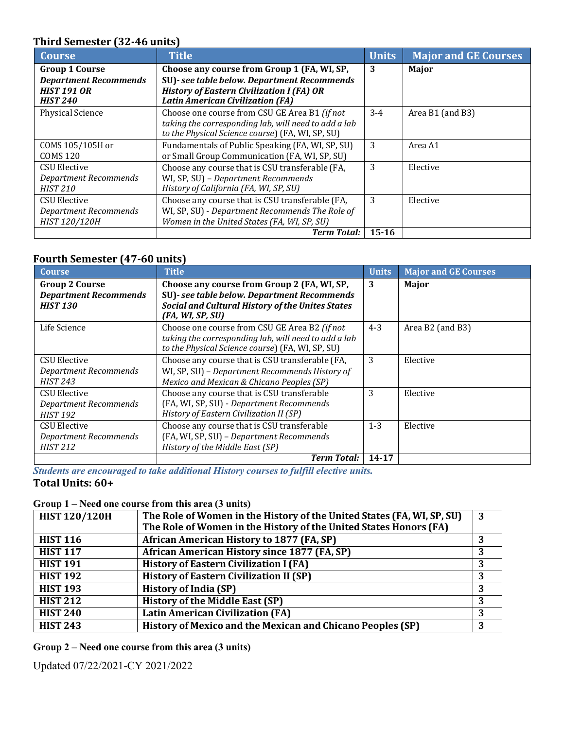# **Third Semester (32-46 units)**

| <b>Course</b>                | <b>Title</b>                                         | <b>Units</b> | <b>Major and GE Courses</b> |
|------------------------------|------------------------------------------------------|--------------|-----------------------------|
| <b>Group 1 Course</b>        | Choose any course from Group 1 (FA, WI, SP,          | 3            | Major                       |
| <b>Department Recommends</b> | SU)- see table below. Department Recommends          |              |                             |
| <b>HIST 191 OR</b>           | <b>History of Eastern Civilization I (FA) OR</b>     |              |                             |
| <b>HIST 240</b>              | <b>Latin American Civilization (FA)</b>              |              |                             |
| <b>Physical Science</b>      | Choose one course from CSU GE Area B1 (if not        | $3 - 4$      | Area B1 (and B3)            |
|                              | taking the corresponding lab, will need to add a lab |              |                             |
|                              | to the Physical Science course) (FA, WI, SP, SU)     |              |                             |
| COMS 105/105H or             | Fundamentals of Public Speaking (FA, WI, SP, SU)     | 3            | Area A1                     |
| <b>COMS 120</b>              | or Small Group Communication (FA, WI, SP, SU)        |              |                             |
| CSU Elective                 | Choose any course that is CSU transferable (FA,      | 3            | Elective                    |
| Department Recommends        | WI, SP, SU) - Department Recommends                  |              |                             |
| <b>HIST 210</b>              | History of California (FA, WI, SP, SU)               |              |                             |
| CSU Elective                 | Choose any course that is CSU transferable (FA,      | 3            | Elective                    |
| <b>Department Recommends</b> | WI, SP, SU) - Department Recommends The Role of      |              |                             |
| HIST 120/120H                | Women in the United States (FA, WI, SP, SU)          |              |                             |
|                              | <b>Term Total:</b>                                   | $15 - 16$    |                             |

# **Fourth Semester (47-60 units)**

| <b>Course</b>                | <b>Title</b>                                            | <b>Units</b> | <b>Major and GE Courses</b> |
|------------------------------|---------------------------------------------------------|--------------|-----------------------------|
| <b>Group 2 Course</b>        | Choose any course from Group 2 (FA, WI, SP,             | 3            | Major                       |
| <b>Department Recommends</b> | SU)- see table below. Department Recommends             |              |                             |
| <b>HIST 130</b>              | <b>Social and Cultural History of the Unites States</b> |              |                             |
|                              | (FA, WI, SP, SU)                                        |              |                             |
| Life Science                 | Choose one course from CSU GE Area B2 (if not           | $4 - 3$      | Area B2 (and B3)            |
|                              | taking the corresponding lab, will need to add a lab    |              |                             |
|                              | to the Physical Science course) (FA, WI, SP, SU)        |              |                             |
| <b>CSU Elective</b>          | Choose any course that is CSU transferable (FA,         | 3            | Elective                    |
| <b>Department Recommends</b> | WI, SP, SU) - Department Recommends History of          |              |                             |
| <b>HIST 243</b>              | Mexico and Mexican & Chicano Peoples (SP)               |              |                             |
| CSU Elective                 | Choose any course that is CSU transferable              | 3            | Elective                    |
| <b>Department Recommends</b> | (FA, WI, SP, SU) - Department Recommends                |              |                             |
| <b>HIST 192</b>              | History of Eastern Civilization II (SP)                 |              |                             |
| <b>CSU Elective</b>          | Choose any course that is CSU transferable              | $1 - 3$      | Elective                    |
| <b>Department Recommends</b> | (FA, WI, SP, SU) - Department Recommends                |              |                             |
| <b>HIST 212</b>              | History of the Middle East (SP)                         |              |                             |
|                              | Term Total:                                             | $14 - 17$    |                             |

*Students are encouraged to take additional History courses to fulfill elective units.* **Total Units: 60+**

## **Group 1 – Need one course from this area (3 units)**

| <b>HIST 120/120H</b> | The Role of Women in the History of the United States (FA, WI, SP, SU)<br>The Role of Women in the History of the United States Honors (FA) | 3 |
|----------------------|---------------------------------------------------------------------------------------------------------------------------------------------|---|
| <b>HIST 116</b>      | African American History to 1877 (FA, SP)                                                                                                   |   |
| <b>HIST 117</b>      | African American History since 1877 (FA, SP)                                                                                                |   |
| <b>HIST 191</b>      | <b>History of Eastern Civilization I (FA)</b>                                                                                               |   |
| <b>HIST 192</b>      | <b>History of Eastern Civilization II (SP)</b>                                                                                              |   |
| <b>HIST 193</b>      | <b>History of India (SP)</b>                                                                                                                |   |
| <b>HIST 212</b>      | <b>History of the Middle East (SP)</b>                                                                                                      |   |
| <b>HIST 240</b>      | <b>Latin American Civilization (FA)</b>                                                                                                     |   |
| <b>HIST 243</b>      | History of Mexico and the Mexican and Chicano Peoples (SP)                                                                                  | 3 |

#### **Group 2 – Need one course from this area (3 units)**

Updated 07/22/2021-CY 2021/2022